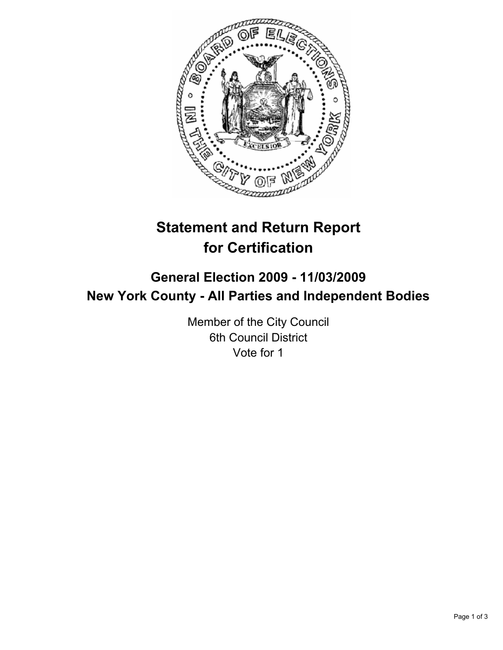

# **Statement and Return Report for Certification**

# **General Election 2009 - 11/03/2009 New York County - All Parties and Independent Bodies**

Member of the City Council 6th Council District Vote for 1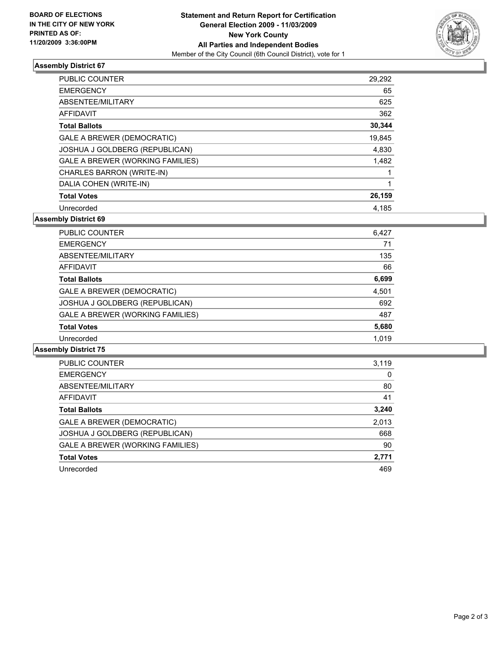

## **Assembly District 67**

| <b>PUBLIC COUNTER</b>                   | 29,292 |
|-----------------------------------------|--------|
| <b>EMERGENCY</b>                        | 65     |
| ABSENTEE/MILITARY                       | 625    |
| <b>AFFIDAVIT</b>                        | 362    |
| <b>Total Ballots</b>                    | 30,344 |
| GALE A BREWER (DEMOCRATIC)              | 19,845 |
| JOSHUA J GOLDBERG (REPUBLICAN)          | 4,830  |
| <b>GALE A BREWER (WORKING FAMILIES)</b> | 1,482  |
| CHARLES BARRON (WRITE-IN)               |        |
| DALIA COHEN (WRITE-IN)                  | 1      |
| <b>Total Votes</b>                      | 26,159 |
| Unrecorded                              | 4.185  |

**Assembly District 69**

| PUBLIC COUNTER                   | 6,427 |
|----------------------------------|-------|
| <b>EMERGENCY</b>                 | 71    |
| ABSENTEE/MILITARY                | 135   |
| <b>AFFIDAVIT</b>                 | 66    |
| <b>Total Ballots</b>             | 6,699 |
| GALE A BREWER (DEMOCRATIC)       | 4,501 |
| JOSHUA J GOLDBERG (REPUBLICAN)   | 692   |
| GALE A BREWER (WORKING FAMILIES) | 487   |
| <b>Total Votes</b>               | 5,680 |
| Unrecorded                       | 1.019 |

**Assembly District 75**

| <b>PUBLIC COUNTER</b>                   | 3,119 |
|-----------------------------------------|-------|
| <b>EMERGENCY</b>                        | 0     |
| ABSENTEE/MILITARY                       | 80    |
| AFFIDAVIT                               | 41    |
| <b>Total Ballots</b>                    | 3,240 |
| GALE A BREWER (DEMOCRATIC)              | 2,013 |
| JOSHUA J GOLDBERG (REPUBLICAN)          | 668   |
| <b>GALE A BREWER (WORKING FAMILIES)</b> | 90    |
| <b>Total Votes</b>                      | 2,771 |
| Unrecorded                              | 469   |